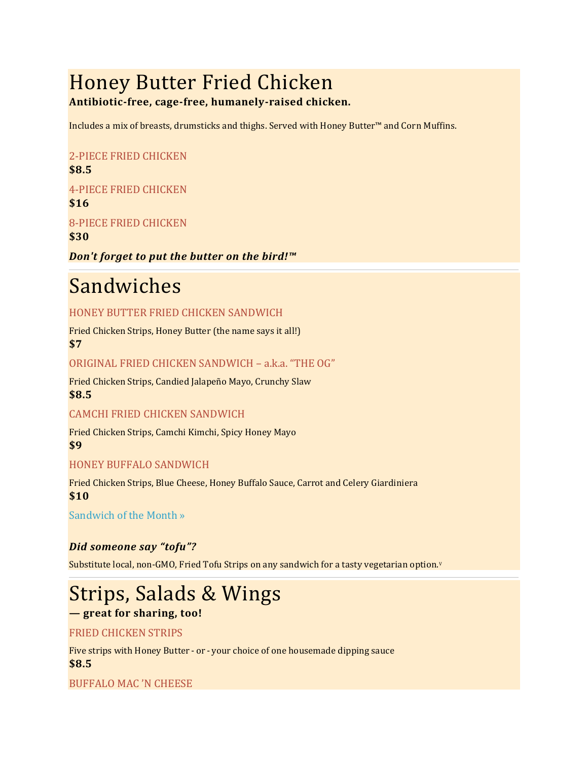# Honey Butter Fried Chicken

# **Antibiotic-free, cage-free, humanely-raised chicken.**

Includes a mix of breasts, drumsticks and thighs. Served with Honey Butter™ and Corn Muffins.

# 2-PIECE FRIED CHICKEN **\$8.5**

# 4-PIECE FRIED CHICKEN

**\$16**

8-PIECE FRIED CHICKEN

**\$30**

# *Don't forget to put the butter on the bird!™*

# Sandwiches

# HONEY BUTTER FRIED CHICKEN SANDWICH

Fried Chicken Strips, Honey Butter (the name says it all!) **\$7**

### ORIGINAL FRIED CHICKEN SANDWICH – a.k.a. "THE OG"

Fried Chicken Strips, Candied Jalapeño Mayo, Crunchy Slaw **\$8.5**

### CAMCHI FRIED CHICKEN SANDWICH

Fried Chicken Strips, Camchi Kimchi, Spicy Honey Mayo **\$9**

### HONEY BUFFALO SANDWICH

Fried Chicken Strips, Blue Cheese, Honey Buffalo Sauce, Carrot and Celery Giardiniera **\$10**

[Sandwich of the Month »](http://www.honeybutter.com/specials)

# *Did someone say "tofu"?*

Substitute local, non-GMO, Fried Tofu Strips on any sandwich for a tasty vegetarian option.<sup>v</sup>

# Strips, Salads & Wings

# **— great for sharing, too!**

# FRIED CHICKEN STRIPS

Five strips with Honey Butter - or - your choice of one housemade dipping sauce **\$8.5**

### BUFFALO MAC 'N CHEESE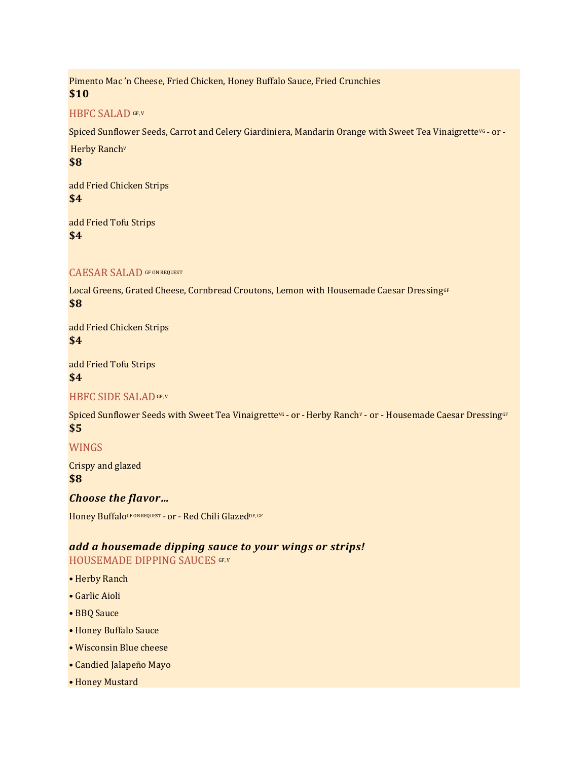Pimento Mac 'n Cheese, Fried Chicken, Honey Buffalo Sauce, Fried Crunchies **\$10**

#### HBFC SALAD GF, V

Spiced Sunflower Seeds, Carrot and Celery Giardiniera, Mandarin Orange with Sweet Tea Vinaigrette<sup>vG</sup> - or -

Herby Ranch<sup>v</sup> **\$8**

add Fried Chicken Strips **\$4**

add Fried Tofu Strips **\$4**

#### CAESAR SALAD GF ON REQUEST

Local Greens, Grated Cheese, Cornbread Croutons, Lemon with Housemade Caesar DressingGF **\$8**

add Fried Chicken Strips **\$4**

add Fried Tofu Strips **\$4**

#### HBFC SIDE SALAD GF, V

Spiced Sunflower Seeds with Sweet Tea VinaigrettevG - or - Herby Ranchv - or - Housemade Caesar DressingGF **\$5**

#### WINGS

Crispy and glazed **\$8**

*Choose the flavor…*

Honey BuffaloGF ON REQUEST - or - Red Chili GlazedDF, GF

#### *add a housemade dipping sauce to your wings or strips!* HOUSEMADE DIPPING SAUCES GF, V

- Herby Ranch
- Garlic Aioli
- BBQ Sauce
- Honey Buffalo Sauce
- Wisconsin Blue cheese
- Candied Jalapeño Mayo
- Honey Mustard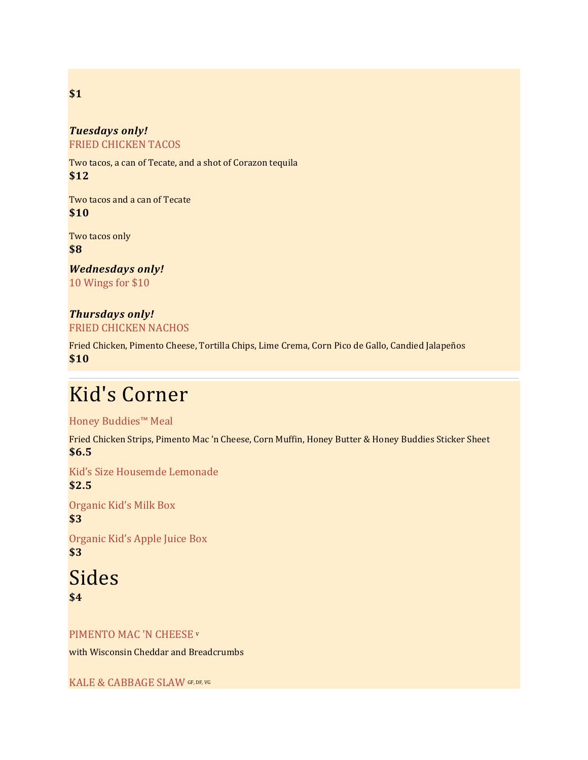#### *Tuesdays only!* FRIED CHICKEN TACOS

Two tacos, a can of Tecate, and a shot of Corazon tequila **\$12**

Two tacos and a can of Tecate **\$10**

Two tacos only **\$8**

*Wednesdays only!* 10 Wings for \$10

# *Thursdays only!*

FRIED CHICKEN NACHOS

Fried Chicken, Pimento Cheese, Tortilla Chips, Lime Crema, Corn Pico de Gallo, Candied Jalapeños **\$10**

# Kid's Corner

Honey Buddies™ Meal

Fried Chicken Strips, Pimento Mac 'n Cheese, Corn Muffin, Honey Butter & Honey Buddies Sticker Sheet **\$6.5**

Kid's Size Housemde Lemonade **\$2.5**

Organic Kid's Milk Box **\$3**

Organic Kid's Apple Juice Box **\$3**

Sides **\$4**

#### PIMENTO MAC 'N CHEESE <sup>V</sup>

with Wisconsin Cheddar and Breadcrumbs

KALE & CABBAGE SLAW GF, DF, VG

# **\$1**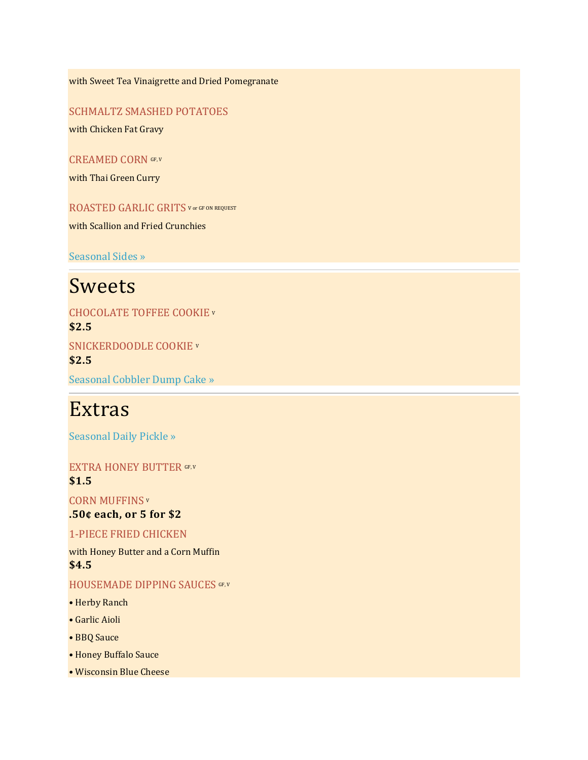with Sweet Tea Vinaigrette and Dried Pomegranate

SCHMALTZ SMASHED POTATOES

with Chicken Fat Gravy

CREAMED CORN GF, V

with Thai Green Curry

ROASTED GARLIC GRITS V OT GF ON REQUEST

with Scallion and Fried Crunchies

[Seasonal Sides »](http://www.honeybutter.com/specials)

# Sweets

CHOCOLATE TOFFEE COOKIE <sup>V</sup> **\$2.5** SNICKERDOODLE COOKIE <sup>V</sup> **\$2.5**

[Seasonal Cobbler Dump Cake »](http://www.honeybutter.com/specials)

# Extras

[Seasonal Daily Pickle »](http://www.honeybutter.com/specials)

EXTRA HONEY BUTTER GF, V **\$1.5**

CORN MUFFINS <sup>V</sup> **.50¢ each, or 5 for \$2**

#### 1-PIECE FRIED CHICKEN

with Honey Butter and a Corn Muffin **\$4.5**

#### HOUSEMADE DIPPING SAUCES GF, V

- Herby Ranch
- Garlic Aioli
- BBQ Sauce
- Honey Buffalo Sauce
- Wisconsin Blue Cheese